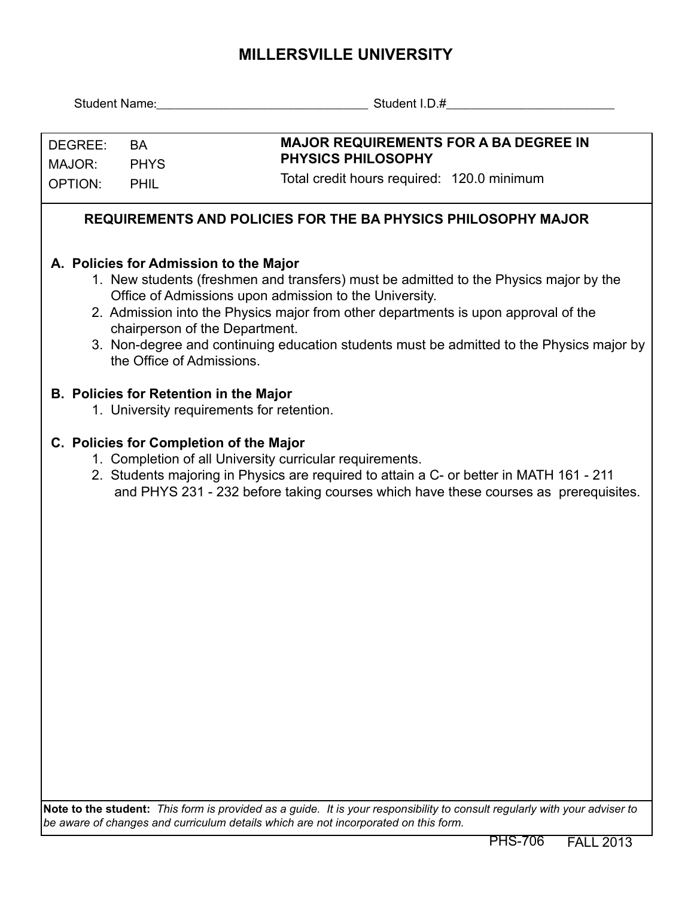## **MILLERSVILLE UNIVERSITY**

|                   |                           | Student Name: Student I.D.#                                                                                                                                                                                                                                                                                                                                                                                   |
|-------------------|---------------------------|---------------------------------------------------------------------------------------------------------------------------------------------------------------------------------------------------------------------------------------------------------------------------------------------------------------------------------------------------------------------------------------------------------------|
| DEGREE:<br>MAJOR: | <b>BA</b><br><b>PHYS</b>  | <b>MAJOR REQUIREMENTS FOR A BA DEGREE IN</b><br><b>PHYSICS PHILOSOPHY</b>                                                                                                                                                                                                                                                                                                                                     |
| <b>OPTION:</b>    | PHIL                      | Total credit hours required: 120.0 minimum                                                                                                                                                                                                                                                                                                                                                                    |
|                   |                           | <b>REQUIREMENTS AND POLICIES FOR THE BA PHYSICS PHILOSOPHY MAJOR</b>                                                                                                                                                                                                                                                                                                                                          |
|                   | the Office of Admissions. | A. Policies for Admission to the Major<br>1. New students (freshmen and transfers) must be admitted to the Physics major by the<br>Office of Admissions upon admission to the University.<br>2. Admission into the Physics major from other departments is upon approval of the<br>chairperson of the Department.<br>3. Non-degree and continuing education students must be admitted to the Physics major by |
|                   |                           | <b>B. Policies for Retention in the Major</b><br>1. University requirements for retention.                                                                                                                                                                                                                                                                                                                    |
|                   |                           | C. Policies for Completion of the Major<br>1. Completion of all University curricular requirements.<br>2. Students majoring in Physics are required to attain a C- or better in MATH 161 - 211<br>and PHYS 231 - 232 before taking courses which have these courses as prerequisites.                                                                                                                         |
|                   |                           | Note to the student: This form is provided as a guide. It is your responsibility to consult regularly with your adviser to                                                                                                                                                                                                                                                                                    |

*be aware of changes and curriculum details which are not incorporated on this form.*